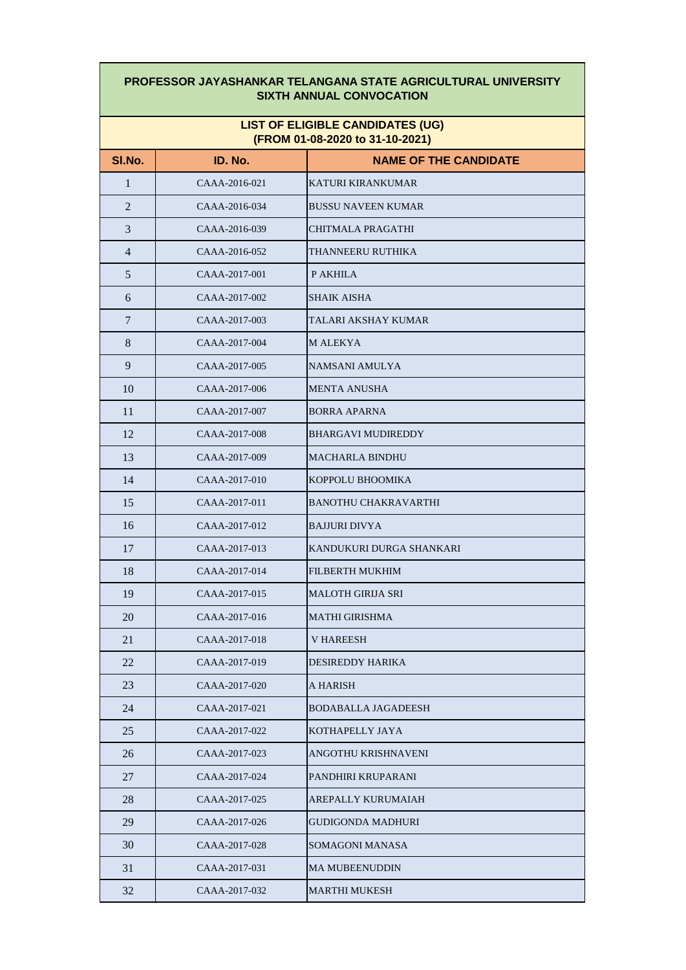## **PROFESSOR JAYASHANKAR TELANGANA STATE AGRICULTURAL UNIVERSITY SIXTH ANNUAL CONVOCATION**

## **LIST OF ELIGIBLE CANDIDATES (UG) (FROM 01-08-2020 to 31-10-2021)**

| SI.No.         | ID. No.       | <b>NAME OF THE CANDIDATE</b> |
|----------------|---------------|------------------------------|
| $\mathbf{1}$   | CAAA-2016-021 | KATURI KIRANKUMAR            |
| $\overline{c}$ | CAAA-2016-034 | <b>BUSSU NAVEEN KUMAR</b>    |
| $\mathfrak{Z}$ | CAAA-2016-039 | CHITMALA PRAGATHI            |
| $\overline{4}$ | CAAA-2016-052 | THANNEERU RUTHIKA            |
| $\sqrt{5}$     | CAAA-2017-001 | P AKHILA                     |
| 6              | CAAA-2017-002 | <b>SHAIK AISHA</b>           |
| 7              | CAAA-2017-003 | TALARI AKSHAY KUMAR          |
| $8\,$          | CAAA-2017-004 | <b>M ALEKYA</b>              |
| 9              | CAAA-2017-005 | NAMSANI AMULYA               |
| 10             | CAAA-2017-006 | <b>MENTA ANUSHA</b>          |
| 11             | CAAA-2017-007 | <b>BORRA APARNA</b>          |
| 12             | CAAA-2017-008 | <b>BHARGAVI MUDIREDDY</b>    |
| 13             | CAAA-2017-009 | <b>MACHARLA BINDHU</b>       |
| 14             | CAAA-2017-010 | KOPPOLU BHOOMIKA             |
| 15             | CAAA-2017-011 | <b>BANOTHU CHAKRAVARTHI</b>  |
| 16             | CAAA-2017-012 | <b>BAJJURI DIVYA</b>         |
| 17             | CAAA-2017-013 | KANDUKURI DURGA SHANKARI     |
| 18             | CAAA-2017-014 | FILBERTH MUKHIM              |
| 19             | CAAA-2017-015 | <b>MALOTH GIRIJA SRI</b>     |
| 20             | CAAA-2017-016 | <b>MATHI GIRISHMA</b>        |
| 21             | CAAA-2017-018 | <b>V HAREESH</b>             |
| 22             | CAAA-2017-019 | DESIREDDY HARIKA             |
| 23             | CAAA-2017-020 | A HARISH                     |
| 24             | CAAA-2017-021 | <b>BODABALLA JAGADEESH</b>   |
| 25             | CAAA-2017-022 | KOTHAPELLY JAYA              |
| 26             | CAAA-2017-023 | ANGOTHU KRISHNAVENI          |
| 27             | CAAA-2017-024 | PANDHIRI KRUPARANI           |
| 28             | CAAA-2017-025 | AREPALLY KURUMAIAH           |
| 29             | CAAA-2017-026 | <b>GUDIGONDA MADHURI</b>     |
| 30             | CAAA-2017-028 | <b>SOMAGONI MANASA</b>       |
| 31             | CAAA-2017-031 | <b>MA MUBEENUDDIN</b>        |
| 32             | CAAA-2017-032 | <b>MARTHI MUKESH</b>         |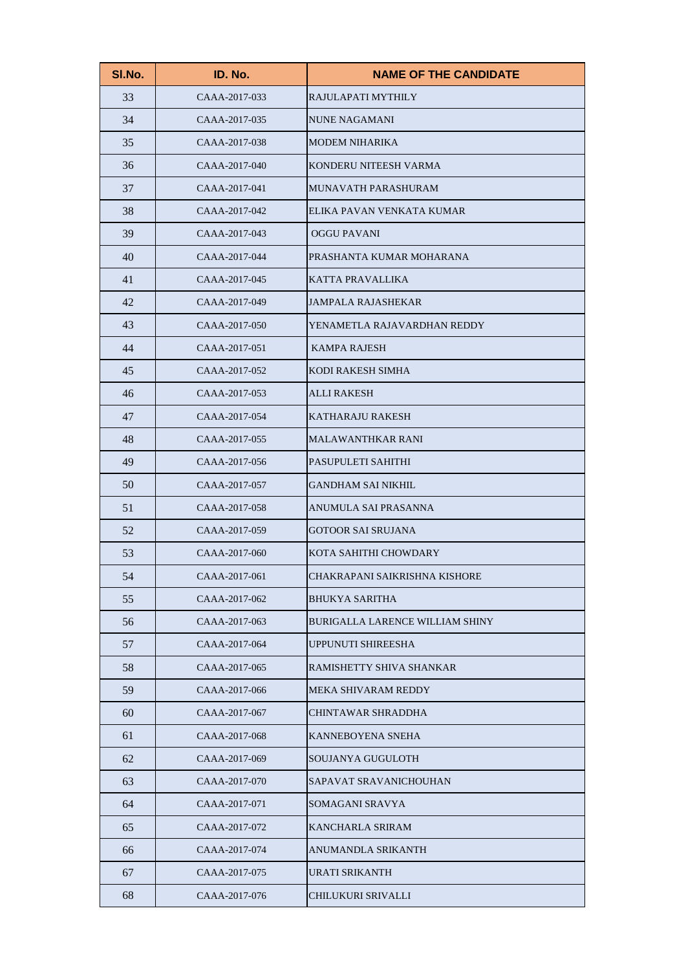| SI.No. | ID. No.       | <b>NAME OF THE CANDIDATE</b>           |
|--------|---------------|----------------------------------------|
| 33     | CAAA-2017-033 | RAJULAPATI MYTHILY                     |
| 34     | CAAA-2017-035 | <b>NUNE NAGAMANI</b>                   |
| 35     | CAAA-2017-038 | <b>MODEM NIHARIKA</b>                  |
| 36     | CAAA-2017-040 | KONDERU NITEESH VARMA                  |
| 37     | CAAA-2017-041 | MUNAVATH PARASHURAM                    |
| 38     | CAAA-2017-042 | ELIKA PAVAN VENKATA KUMAR              |
| 39     | CAAA-2017-043 | <b>OGGU PAVANI</b>                     |
| 40     | CAAA-2017-044 | PRASHANTA KUMAR MOHARANA               |
| 41     | CAAA-2017-045 | KATTA PRAVALLIKA                       |
| 42     | CAAA-2017-049 | <b>JAMPALA RAJASHEKAR</b>              |
| 43     | CAAA-2017-050 | YENAMETLA RAJAVARDHAN REDDY            |
| 44     | CAAA-2017-051 | <b>KAMPA RAJESH</b>                    |
| 45     | CAAA-2017-052 | KODI RAKESH SIMHA                      |
| 46     | CAAA-2017-053 | <b>ALLI RAKESH</b>                     |
| 47     | CAAA-2017-054 | <b>KATHARAJU RAKESH</b>                |
| 48     | CAAA-2017-055 | <b>MALAWANTHKAR RANI</b>               |
| 49     | CAAA-2017-056 | PASUPULETI SAHITHI                     |
| 50     | CAAA-2017-057 | <b>GANDHAM SAI NIKHIL</b>              |
| 51     | CAAA-2017-058 | ANUMULA SAI PRASANNA                   |
| 52     | CAAA-2017-059 | <b>GOTOOR SAI SRUJANA</b>              |
| 53     | CAAA-2017-060 | KOTA SAHITHI CHOWDARY                  |
| 54     | CAAA-2017-061 | CHAKRAPANI SAIKRISHNA KISHORE          |
| 55     | CAAA-2017-062 | <b>BHUKYA SARITHA</b>                  |
| 56     | CAAA-2017-063 | <b>BURIGALLA LARENCE WILLIAM SHINY</b> |
| 57     | CAAA-2017-064 | UPPUNUTI SHIREESHA                     |
| 58     | CAAA-2017-065 | RAMISHETTY SHIVA SHANKAR               |
| 59     | CAAA-2017-066 | <b>MEKA SHIVARAM REDDY</b>             |
| 60     | CAAA-2017-067 | <b>CHINTAWAR SHRADDHA</b>              |
| 61     | CAAA-2017-068 | KANNEBOYENA SNEHA                      |
| 62     | CAAA-2017-069 | SOUJANYA GUGULOTH                      |
| 63     | CAAA-2017-070 | SAPAVAT SRAVANICHOUHAN                 |
| 64     | CAAA-2017-071 | SOMAGANI SRAVYA                        |
| 65     | CAAA-2017-072 | <b>KANCHARLA SRIRAM</b>                |
| 66     | CAAA-2017-074 | ANUMANDLA SRIKANTH                     |
| 67     | CAAA-2017-075 | URATI SRIKANTH                         |
| 68     | CAAA-2017-076 | <b>CHILUKURI SRIVALLI</b>              |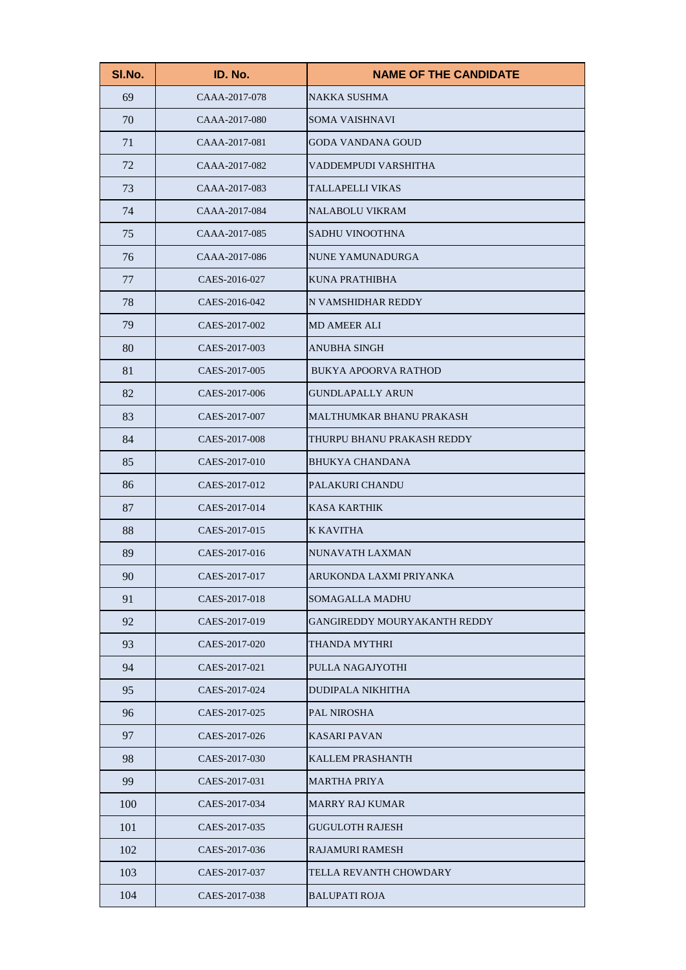| SI.No. | ID. No.       | <b>NAME OF THE CANDIDATE</b>        |
|--------|---------------|-------------------------------------|
| 69     | CAAA-2017-078 | <b>NAKKA SUSHMA</b>                 |
| 70     | CAAA-2017-080 | <b>SOMA VAISHNAVI</b>               |
| 71     | CAAA-2017-081 | <b>GODA VANDANA GOUD</b>            |
| 72     | CAAA-2017-082 | VADDEMPUDI VARSHITHA                |
| 73     | CAAA-2017-083 | TALLAPELLI VIKAS                    |
| 74     | CAAA-2017-084 | <b>NALABOLU VIKRAM</b>              |
| 75     | CAAA-2017-085 | SADHU VINOOTHNA                     |
| 76     | CAAA-2017-086 | NUNE YAMUNADURGA                    |
| 77     | CAES-2016-027 | KUNA PRATHIBHA                      |
| 78     | CAES-2016-042 | N VAMSHIDHAR REDDY                  |
| 79     | CAES-2017-002 | <b>MD AMEER ALI</b>                 |
| 80     | CAES-2017-003 | <b>ANUBHA SINGH</b>                 |
| 81     | CAES-2017-005 | <b>BUKYA APOORVA RATHOD</b>         |
| 82     | CAES-2017-006 | <b>GUNDLAPALLY ARUN</b>             |
| 83     | CAES-2017-007 | <b>MALTHUMKAR BHANU PRAKASH</b>     |
| 84     | CAES-2017-008 | THURPU BHANU PRAKASH REDDY          |
| 85     | CAES-2017-010 | <b>BHUKYA CHANDANA</b>              |
| 86     | CAES-2017-012 | PALAKURI CHANDU                     |
| 87     | CAES-2017-014 | <b>KASA KARTHIK</b>                 |
| 88     | CAES-2017-015 | <b>K KAVITHA</b>                    |
| 89     | CAES-2017-016 | NUNAVATH LAXMAN                     |
| 90     | CAES-2017-017 | ARUKONDA LAXMI PRIYANKA             |
| 91     | CAES-2017-018 | <b>SOMAGALLA MADHU</b>              |
| 92     | CAES-2017-019 | <b>GANGIREDDY MOURYAKANTH REDDY</b> |
| 93     | CAES-2017-020 | <b>THANDA MYTHRI</b>                |
| 94     | CAES-2017-021 | PULLA NAGAJYOTHI                    |
| 95     | CAES-2017-024 | <b>DUDIPALA NIKHITHA</b>            |
| 96     | CAES-2017-025 | PAL NIROSHA                         |
| 97     | CAES-2017-026 | <b>KASARI PAVAN</b>                 |
| 98     | CAES-2017-030 | <b>KALLEM PRASHANTH</b>             |
| 99     | CAES-2017-031 | <b>MARTHA PRIYA</b>                 |
| 100    | CAES-2017-034 | <b>MARRY RAJ KUMAR</b>              |
| 101    | CAES-2017-035 | <b>GUGULOTH RAJESH</b>              |
| 102    | CAES-2017-036 | <b>RAJAMURI RAMESH</b>              |
| 103    | CAES-2017-037 | TELLA REVANTH CHOWDARY              |
| 104    | CAES-2017-038 | <b>BALUPATI ROJA</b>                |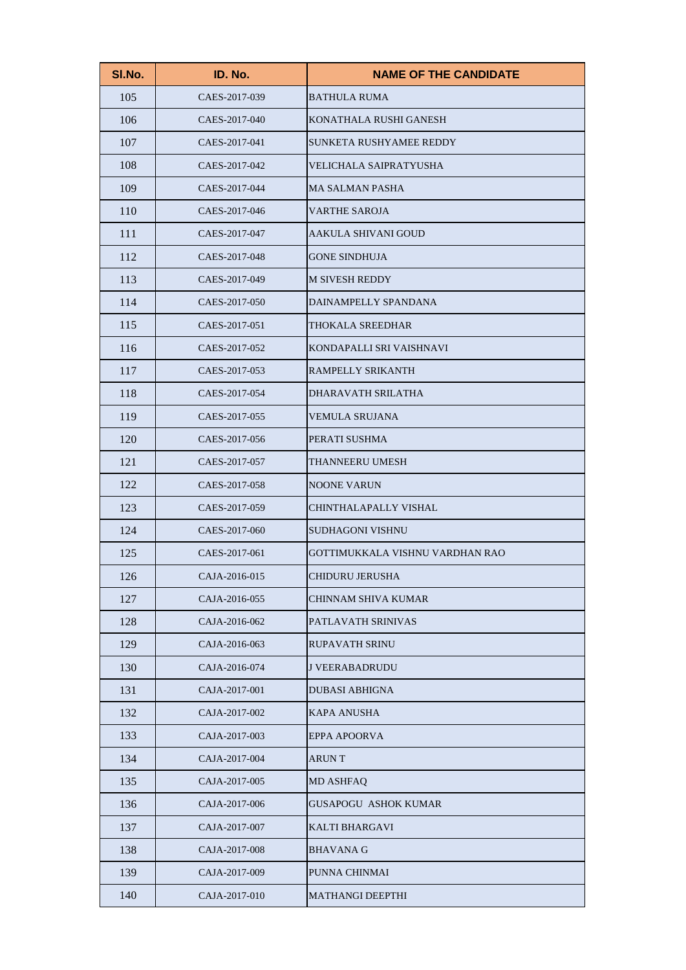| SI.No. | ID. No.       | <b>NAME OF THE CANDIDATE</b>    |
|--------|---------------|---------------------------------|
| 105    | CAES-2017-039 | <b>BATHULA RUMA</b>             |
| 106    | CAES-2017-040 | KONATHALA RUSHI GANESH          |
| 107    | CAES-2017-041 | <b>SUNKETA RUSHYAMEE REDDY</b>  |
| 108    | CAES-2017-042 | VELICHALA SAIPRATYUSHA          |
| 109    | CAES-2017-044 | <b>MA SALMAN PASHA</b>          |
| 110    | CAES-2017-046 | <b>VARTHE SAROJA</b>            |
| 111    | CAES-2017-047 | AAKULA SHIVANI GOUD             |
| 112    | CAES-2017-048 | <b>GONE SINDHUJA</b>            |
| 113    | CAES-2017-049 | <b>M SIVESH REDDY</b>           |
| 114    | CAES-2017-050 | DAINAMPELLY SPANDANA            |
| 115    | CAES-2017-051 | THOKALA SREEDHAR                |
| 116    | CAES-2017-052 | KONDAPALLI SRI VAISHNAVI        |
| 117    | CAES-2017-053 | RAMPELLY SRIKANTH               |
| 118    | CAES-2017-054 | DHARAVATH SRILATHA              |
| 119    | CAES-2017-055 | <b>VEMULA SRUJANA</b>           |
| 120    | CAES-2017-056 | PERATI SUSHMA                   |
| 121    | CAES-2017-057 | THANNEERU UMESH                 |
| 122    | CAES-2017-058 | <b>NOONE VARUN</b>              |
| 123    | CAES-2017-059 | CHINTHALAPALLY VISHAL           |
| 124    | CAES-2017-060 | SUDHAGONI VISHNU                |
| 125    | CAES-2017-061 | GOTTIMUKKALA VISHNU VARDHAN RAO |
| 126    | CAJA-2016-015 | CHIDURU JERUSHA                 |
| 127    | CAJA-2016-055 | CHINNAM SHIVA KUMAR             |
| 128    | CAJA-2016-062 | PATLAVATH SRINIVAS              |
| 129    | CAJA-2016-063 | <b>RUPAVATH SRINU</b>           |
| 130    | CAJA-2016-074 | <b>J VEERABADRUDU</b>           |
| 131    | CAJA-2017-001 | <b>DUBASI ABHIGNA</b>           |
| 132    | CAJA-2017-002 | <b>KAPA ANUSHA</b>              |
| 133    | CAJA-2017-003 | EPPA APOORVA                    |
| 134    | CAJA-2017-004 | <b>ARUNT</b>                    |
| 135    | CAJA-2017-005 | <b>MD ASHFAQ</b>                |
| 136    | CAJA-2017-006 | <b>GUSAPOGU ASHOK KUMAR</b>     |
| 137    | CAJA-2017-007 | <b>KALTI BHARGAVI</b>           |
| 138    | CAJA-2017-008 | <b>BHAVANA G</b>                |
| 139    | CAJA-2017-009 | PUNNA CHINMAI                   |
| 140    | CAJA-2017-010 | <b>MATHANGI DEEPTHI</b>         |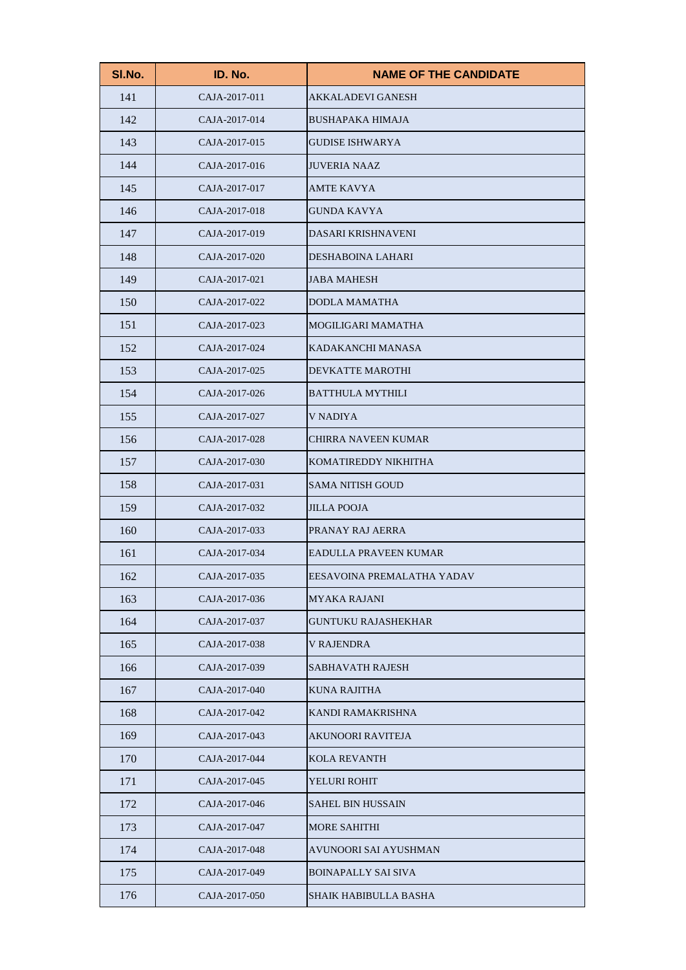| SI.No. | ID. No.       | <b>NAME OF THE CANDIDATE</b> |
|--------|---------------|------------------------------|
| 141    | CAJA-2017-011 | <b>AKKALADEVI GANESH</b>     |
| 142    | CAJA-2017-014 | <b>BUSHAPAKA HIMAJA</b>      |
| 143    | CAJA-2017-015 | <b>GUDISE ISHWARYA</b>       |
| 144    | CAJA-2017-016 | <b>JUVERIA NAAZ</b>          |
| 145    | CAJA-2017-017 | <b>AMTE KAVYA</b>            |
| 146    | CAJA-2017-018 | <b>GUNDA KAVYA</b>           |
| 147    | CAJA-2017-019 | DASARI KRISHNAVENI           |
| 148    | CAJA-2017-020 | DESHABOINA LAHARI            |
| 149    | CAJA-2017-021 | <b>JABA MAHESH</b>           |
| 150    | CAJA-2017-022 | <b>DODLA MAMATHA</b>         |
| 151    | CAJA-2017-023 | MOGILIGARI MAMATHA           |
| 152    | CAJA-2017-024 | KADAKANCHI MANASA            |
| 153    | CAJA-2017-025 | <b>DEVKATTE MAROTHI</b>      |
| 154    | CAJA-2017-026 | <b>BATTHULA MYTHILI</b>      |
| 155    | CAJA-2017-027 | V NADIYA                     |
| 156    | CAJA-2017-028 | <b>CHIRRA NAVEEN KUMAR</b>   |
| 157    | CAJA-2017-030 | KOMATIREDDY NIKHITHA         |
| 158    | CAJA-2017-031 | <b>SAMA NITISH GOUD</b>      |
| 159    | CAJA-2017-032 | <b>JILLA POOJA</b>           |
| 160    | CAJA-2017-033 | PRANAY RAJ AERRA             |
| 161    | CAJA-2017-034 | EADULLA PRAVEEN KUMAR        |
| 162    | CAJA-2017-035 | EESAVOINA PREMALATHA YADAV   |
| 163    | CAJA-2017-036 | <b>MYAKA RAJANI</b>          |
| 164    | CAJA-2017-037 | <b>GUNTUKU RAJASHEKHAR</b>   |
| 165    | CAJA-2017-038 | <b>V RAJENDRA</b>            |
| 166    | CAJA-2017-039 | <b>SABHAVATH RAJESH</b>      |
| 167    | CAJA-2017-040 | KUNA RAJITHA                 |
| 168    | CAJA-2017-042 | KANDI RAMAKRISHNA            |
| 169    | CAJA-2017-043 | <b>AKUNOORI RAVITEJA</b>     |
| 170    | CAJA-2017-044 | <b>KOLA REVANTH</b>          |
| 171    | CAJA-2017-045 | YELURI ROHIT                 |
| 172    | CAJA-2017-046 | <b>SAHEL BIN HUSSAIN</b>     |
| 173    | CAJA-2017-047 | <b>MORE SAHITHI</b>          |
| 174    | CAJA-2017-048 | AVUNOORI SAI AYUSHMAN        |
| 175    | CAJA-2017-049 | <b>BOINAPALLY SAI SIVA</b>   |
| 176    | CAJA-2017-050 | SHAIK HABIBULLA BASHA        |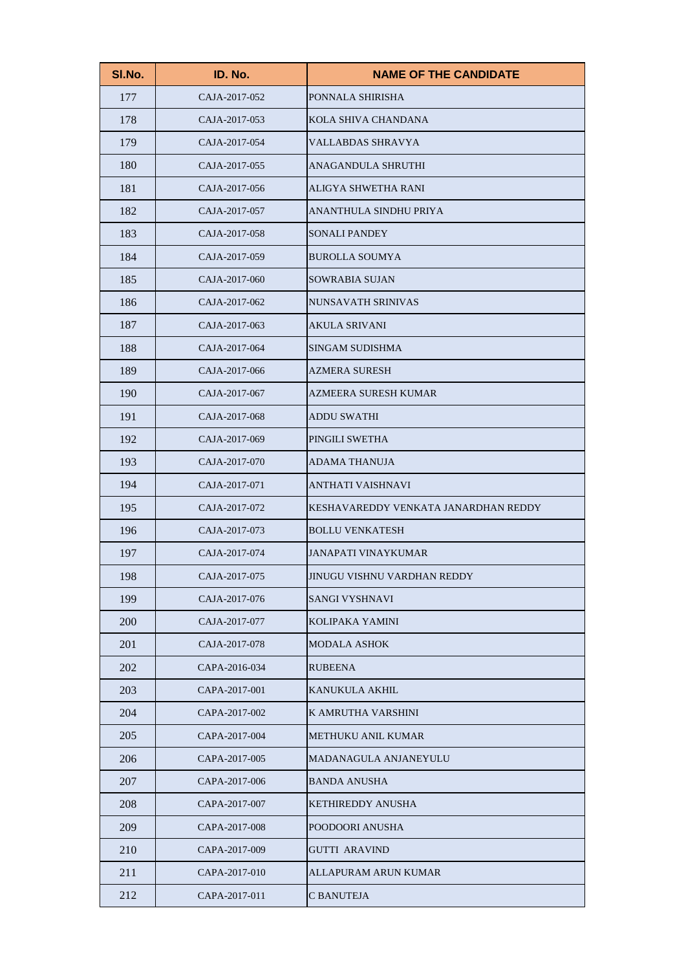| SI.No. | ID. No.       | <b>NAME OF THE CANDIDATE</b>         |
|--------|---------------|--------------------------------------|
| 177    | CAJA-2017-052 | PONNALA SHIRISHA                     |
| 178    | CAJA-2017-053 | KOLA SHIVA CHANDANA                  |
| 179    | CAJA-2017-054 | <b>VALLABDAS SHRAVYA</b>             |
| 180    | CAJA-2017-055 | ANAGANDULA SHRUTHI                   |
| 181    | CAJA-2017-056 | ALIGYA SHWETHA RANI                  |
| 182    | CAJA-2017-057 | ANANTHULA SINDHU PRIYA               |
| 183    | CAJA-2017-058 | <b>SONALI PANDEY</b>                 |
| 184    | CAJA-2017-059 | <b>BUROLLA SOUMYA</b>                |
| 185    | CAJA-2017-060 | <b>SOWRABIA SUJAN</b>                |
| 186    | CAJA-2017-062 | <b>NUNSAVATH SRINIVAS</b>            |
| 187    | CAJA-2017-063 | <b>AKULA SRIVANI</b>                 |
| 188    | CAJA-2017-064 | <b>SINGAM SUDISHMA</b>               |
| 189    | CAJA-2017-066 | <b>AZMERA SURESH</b>                 |
| 190    | CAJA-2017-067 | AZMEERA SURESH KUMAR                 |
| 191    | CAJA-2017-068 | <b>ADDU SWATHI</b>                   |
| 192    | CAJA-2017-069 | PINGILI SWETHA                       |
| 193    | CAJA-2017-070 | <b>ADAMA THANUJA</b>                 |
| 194    | CAJA-2017-071 | <b>ANTHATI VAISHNAVI</b>             |
| 195    | CAJA-2017-072 | KESHAVAREDDY VENKATA JANARDHAN REDDY |
| 196    | CAJA-2017-073 | <b>BOLLU VENKATESH</b>               |
| 197    | CAJA-2017-074 | <b>JANAPATI VINAYKUMAR</b>           |
| 198    | CAJA-2017-075 | JINUGU VISHNU VARDHAN REDDY          |
| 199    | CAJA-2017-076 | <b>SANGI VYSHNAVI</b>                |
| 200    | CAJA-2017-077 | KOLIPAKA YAMINI                      |
| 201    | CAJA-2017-078 | <b>MODALA ASHOK</b>                  |
| 202    | CAPA-2016-034 | <b>RUBEENA</b>                       |
| 203    | CAPA-2017-001 | KANUKULA AKHIL                       |
| 204    | CAPA-2017-002 | K AMRUTHA VARSHINI                   |
| 205    | CAPA-2017-004 | METHUKU ANIL KUMAR                   |
| 206    | CAPA-2017-005 | MADANAGULA ANJANEYULU                |
| 207    | CAPA-2017-006 | <b>BANDA ANUSHA</b>                  |
| 208    | CAPA-2017-007 | <b>KETHIREDDY ANUSHA</b>             |
| 209    | CAPA-2017-008 | POODOORI ANUSHA                      |
| 210    | CAPA-2017-009 | <b>GUTTI ARAVIND</b>                 |
| 211    | CAPA-2017-010 | ALLAPURAM ARUN KUMAR                 |
| 212    | CAPA-2017-011 | C BANUTEJA                           |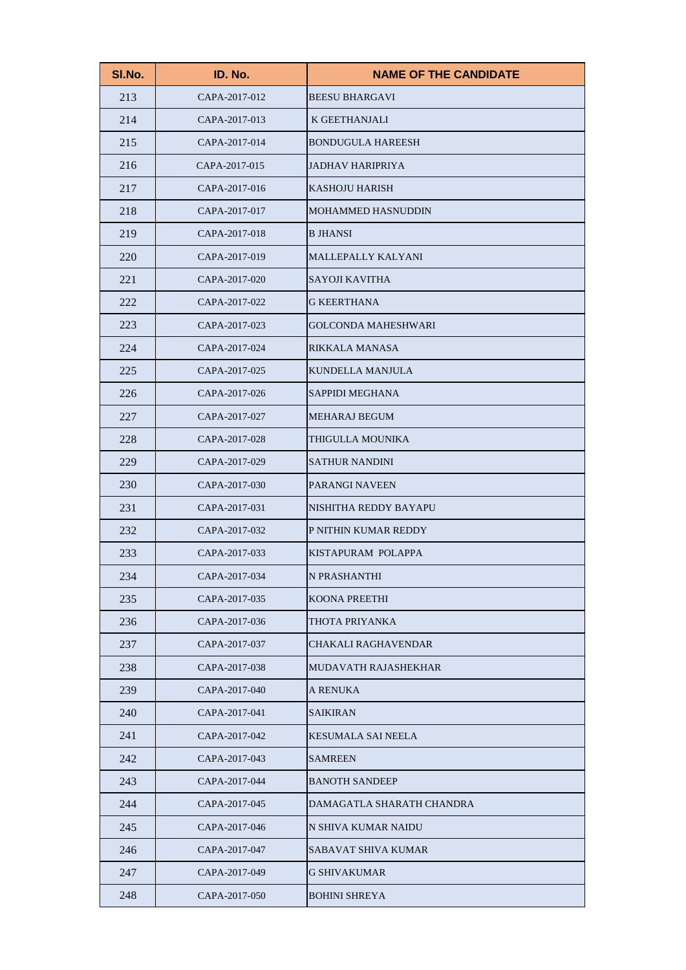| SI.No. | ID. No.       | <b>NAME OF THE CANDIDATE</b> |
|--------|---------------|------------------------------|
| 213    | CAPA-2017-012 | <b>BEESU BHARGAVI</b>        |
| 214    | CAPA-2017-013 | K GEETHANJALI                |
| 215    | CAPA-2017-014 | <b>BONDUGULA HAREESH</b>     |
| 216    | CAPA-2017-015 | <b>JADHAV HARIPRIYA</b>      |
| 217    | CAPA-2017-016 | <b>KASHOJU HARISH</b>        |
| 218    | CAPA-2017-017 | <b>MOHAMMED HASNUDDIN</b>    |
| 219    | CAPA-2017-018 | <b>B JHANSI</b>              |
| 220    | CAPA-2017-019 | MALLEPALLY KALYANI           |
| 221    | CAPA-2017-020 | <b>SAYOJI KAVITHA</b>        |
| 222    | CAPA-2017-022 | <b>G KEERTHANA</b>           |
| 223    | CAPA-2017-023 | <b>GOLCONDA MAHESHWARI</b>   |
| 224    | CAPA-2017-024 | RIKKALA MANASA               |
| 225    | CAPA-2017-025 | <b>KUNDELLA MANJULA</b>      |
| 226    | CAPA-2017-026 | <b>SAPPIDI MEGHANA</b>       |
| 227    | CAPA-2017-027 | <b>MEHARAJ BEGUM</b>         |
| 228    | CAPA-2017-028 | THIGULLA MOUNIKA             |
| 229    | CAPA-2017-029 | <b>SATHUR NANDINI</b>        |
| 230    | CAPA-2017-030 | <b>PARANGI NAVEEN</b>        |
| 231    | CAPA-2017-031 | NISHITHA REDDY BAYAPU        |
| 232    | CAPA-2017-032 | P NITHIN KUMAR REDDY         |
| 233    | CAPA-2017-033 | KISTAPURAM POLAPPA           |
| 234    | CAPA-2017-034 | N PRASHANTHI                 |
| 235    | CAPA-2017-035 | KOONA PREETHI                |
| 236    | CAPA-2017-036 | THOTA PRIYANKA               |
| 237    | CAPA-2017-037 | CHAKALI RAGHAVENDAR          |
| 238    | CAPA-2017-038 | MUDAVATH RAJASHEKHAR         |
| 239    | CAPA-2017-040 | A RENUKA                     |
| 240    | CAPA-2017-041 | <b>SAIKIRAN</b>              |
| 241    | CAPA-2017-042 | <b>KESUMALA SAI NEELA</b>    |
| 242    | CAPA-2017-043 | <b>SAMREEN</b>               |
| 243    | CAPA-2017-044 | <b>BANOTH SANDEEP</b>        |
| 244    | CAPA-2017-045 | DAMAGATLA SHARATH CHANDRA    |
| 245    | CAPA-2017-046 | N SHIVA KUMAR NAIDU          |
| 246    | CAPA-2017-047 | SABAVAT SHIVA KUMAR          |
| 247    | CAPA-2017-049 | <b>G SHIVAKUMAR</b>          |
| 248    | CAPA-2017-050 | <b>BOHINI SHREYA</b>         |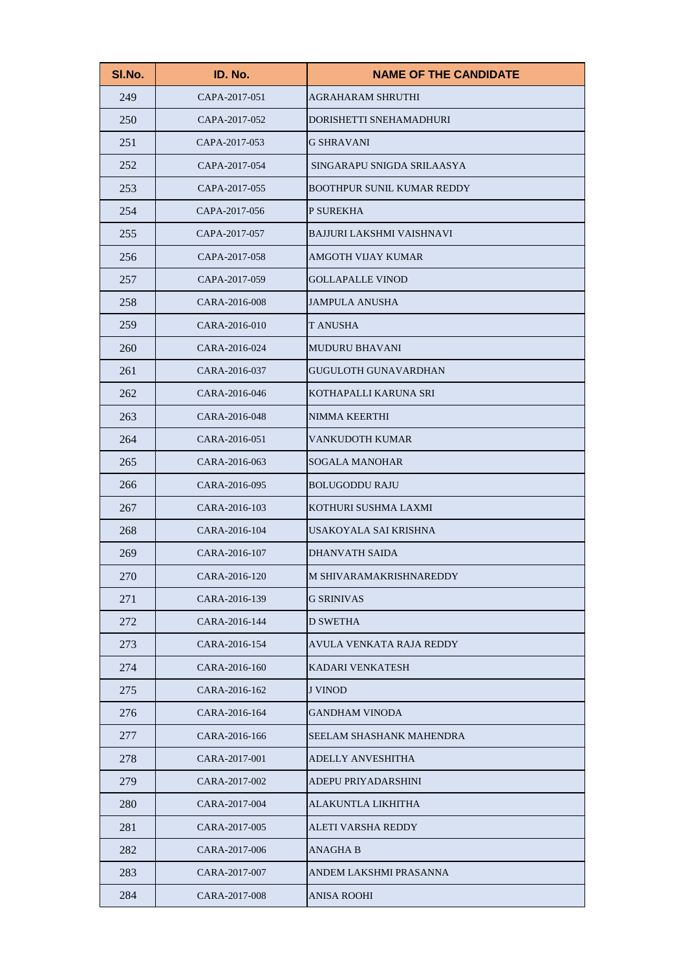| SI.No. | ID. No.       | <b>NAME OF THE CANDIDATE</b>      |
|--------|---------------|-----------------------------------|
| 249    | CAPA-2017-051 | <b>AGRAHARAM SHRUTHI</b>          |
| 250    | CAPA-2017-052 | DORISHETTI SNEHAMADHURI           |
| 251    | CAPA-2017-053 | <b>G SHRAVANI</b>                 |
| 252    | CAPA-2017-054 | SINGARAPU SNIGDA SRILAASYA        |
| 253    | CAPA-2017-055 | <b>BOOTHPUR SUNIL KUMAR REDDY</b> |
| 254    | CAPA-2017-056 | P SUREKHA                         |
| 255    | CAPA-2017-057 | <b>BAJJURI LAKSHMI VAISHNAVI</b>  |
| 256    | CAPA-2017-058 | <b>AMGOTH VIJAY KUMAR</b>         |
| 257    | CAPA-2017-059 | <b>GOLLAPALLE VINOD</b>           |
| 258    | CARA-2016-008 | <b>JAMPULA ANUSHA</b>             |
| 259    | CARA-2016-010 | T ANUSHA                          |
| 260    | CARA-2016-024 | <b>MUDURU BHAVANI</b>             |
| 261    | CARA-2016-037 | <b>GUGULOTH GUNAVARDHAN</b>       |
| 262    | CARA-2016-046 | KOTHAPALLI KARUNA SRI             |
| 263    | CARA-2016-048 | NIMMA KEERTHI                     |
| 264    | CARA-2016-051 | VANKUDOTH KUMAR                   |
| 265    | CARA-2016-063 | <b>SOGALA MANOHAR</b>             |
| 266    | CARA-2016-095 | <b>BOLUGODDU RAJU</b>             |
| 267    | CARA-2016-103 | KOTHURI SUSHMA LAXMI              |
| 268    | CARA-2016-104 | USAKOYALA SAI KRISHNA             |
| 269    | CARA-2016-107 | <b>DHANVATH SAIDA</b>             |
| 270    | CARA-2016-120 | M SHIVARAMAKRISHNAREDDY           |
| 271    | CARA-2016-139 | <b>G SRINIVAS</b>                 |
| 272    | CARA-2016-144 | D SWETHA                          |
| 273    | CARA-2016-154 | AVULA VENKATA RAJA REDDY          |
| 274    | CARA-2016-160 | <b>KADARI VENKATESH</b>           |
| 275    | CARA-2016-162 | <b>J VINOD</b>                    |
| 276    | CARA-2016-164 | <b>GANDHAM VINODA</b>             |
| 277    | CARA-2016-166 | SEELAM SHASHANK MAHENDRA          |
| 278    | CARA-2017-001 | <b>ADELLY ANVESHITHA</b>          |
| 279    | CARA-2017-002 | ADEPU PRIYADARSHINI               |
| 280    | CARA-2017-004 | ALAKUNTLA LIKHITHA                |
| 281    | CARA-2017-005 | ALETI VARSHA REDDY                |
| 282    | CARA-2017-006 | <b>ANAGHA B</b>                   |
| 283    | CARA-2017-007 | ANDEM LAKSHMI PRASANNA            |
| 284    | CARA-2017-008 | <b>ANISA ROOHI</b>                |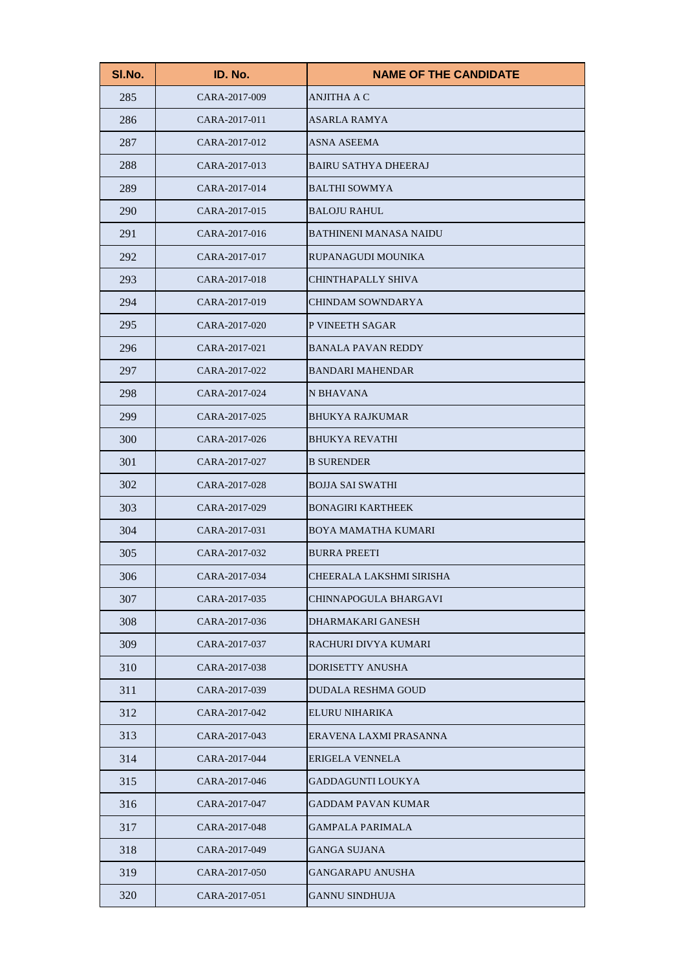| SI.No. | ID. No.       | <b>NAME OF THE CANDIDATE</b>  |
|--------|---------------|-------------------------------|
| 285    | CARA-2017-009 | <b>ANJITHA A C</b>            |
| 286    | CARA-2017-011 | <b>ASARLA RAMYA</b>           |
| 287    | CARA-2017-012 | <b>ASNA ASEEMA</b>            |
| 288    | CARA-2017-013 | <b>BAIRU SATHYA DHEERAJ</b>   |
| 289    | CARA-2017-014 | <b>BALTHI SOWMYA</b>          |
| 290    | CARA-2017-015 | <b>BALOJU RAHUL</b>           |
| 291    | CARA-2017-016 | <b>BATHINENI MANASA NAIDU</b> |
| 292    | CARA-2017-017 | RUPANAGUDI MOUNIKA            |
| 293    | CARA-2017-018 | CHINTHAPALLY SHIVA            |
| 294    | CARA-2017-019 | <b>CHINDAM SOWNDARYA</b>      |
| 295    | CARA-2017-020 | P VINEETH SAGAR               |
| 296    | CARA-2017-021 | <b>BANALA PAVAN REDDY</b>     |
| 297    | CARA-2017-022 | <b>BANDARI MAHENDAR</b>       |
| 298    | CARA-2017-024 | N BHAVANA                     |
| 299    | CARA-2017-025 | <b>BHUKYA RAJKUMAR</b>        |
| 300    | CARA-2017-026 | <b>BHUKYA REVATHI</b>         |
| 301    | CARA-2017-027 | <b>B SURENDER</b>             |
| 302    | CARA-2017-028 | <b>BOJJA SAI SWATHI</b>       |
| 303    | CARA-2017-029 | <b>BONAGIRI KARTHEEK</b>      |
| 304    | CARA-2017-031 | <b>BOYA MAMATHA KUMARI</b>    |
| 305    | CARA-2017-032 | <b>BURRA PREETI</b>           |
| 306    | CARA-2017-034 | CHEERALA LAKSHMI SIRISHA      |
| 307    | CARA-2017-035 | <b>CHINNAPOGULA BHARGAVI</b>  |
| 308    | CARA-2017-036 | DHARMAKARI GANESH             |
| 309    | CARA-2017-037 | RACHURI DIVYA KUMARI          |
| 310    | CARA-2017-038 | <b>DORISETTY ANUSHA</b>       |
| 311    | CARA-2017-039 | <b>DUDALA RESHMA GOUD</b>     |
| 312    | CARA-2017-042 | ELURU NIHARIKA                |
| 313    | CARA-2017-043 | ERAVENA LAXMI PRASANNA        |
| 314    | CARA-2017-044 | <b>ERIGELA VENNELA</b>        |
| 315    | CARA-2017-046 | GADDAGUNTI LOUKYA             |
| 316    | CARA-2017-047 | <b>GADDAM PAVAN KUMAR</b>     |
| 317    | CARA-2017-048 | <b>GAMPALA PARIMALA</b>       |
| 318    | CARA-2017-049 | <b>GANGA SUJANA</b>           |
| 319    | CARA-2017-050 | <b>GANGARAPU ANUSHA</b>       |
| 320    | CARA-2017-051 | <b>GANNU SINDHUJA</b>         |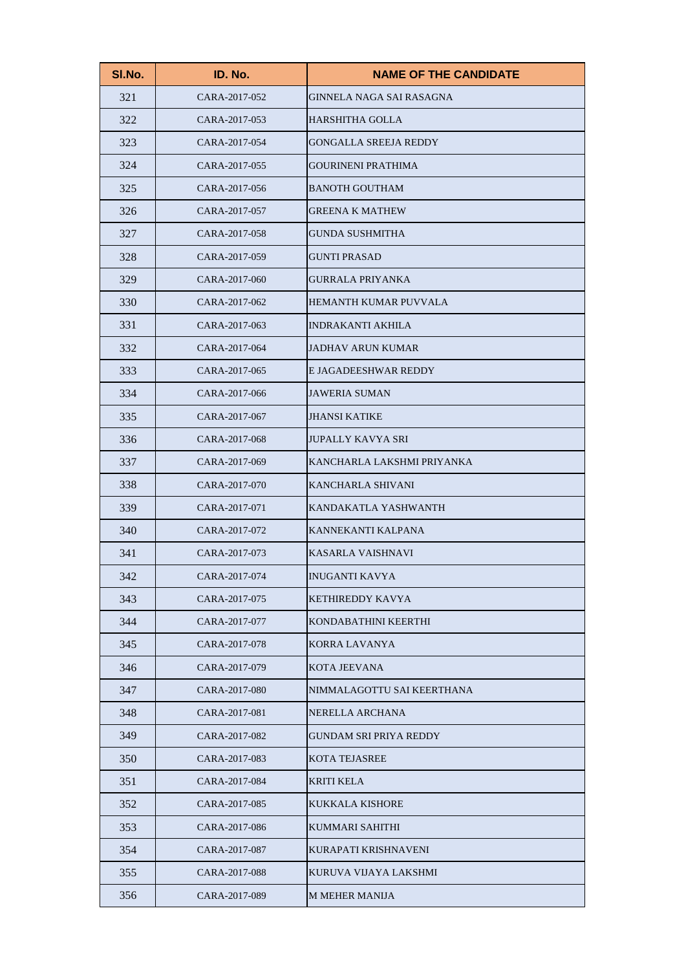| SI.No. | ID. No.       | <b>NAME OF THE CANDIDATE</b>  |
|--------|---------------|-------------------------------|
| 321    | CARA-2017-052 | GINNELA NAGA SAI RASAGNA      |
| 322    | CARA-2017-053 | <b>HARSHITHA GOLLA</b>        |
| 323    | CARA-2017-054 | <b>GONGALLA SREEJA REDDY</b>  |
| 324    | CARA-2017-055 | <b>GOURINENI PRATHIMA</b>     |
| 325    | CARA-2017-056 | <b>BANOTH GOUTHAM</b>         |
| 326    | CARA-2017-057 | <b>GREENA K MATHEW</b>        |
| 327    | CARA-2017-058 | <b>GUNDA SUSHMITHA</b>        |
| 328    | CARA-2017-059 | <b>GUNTI PRASAD</b>           |
| 329    | CARA-2017-060 | <b>GURRALA PRIYANKA</b>       |
| 330    | CARA-2017-062 | <b>HEMANTH KUMAR PUVVALA</b>  |
| 331    | CARA-2017-063 | <b>INDRAKANTI AKHILA</b>      |
| 332    | CARA-2017-064 | <b>JADHAV ARUN KUMAR</b>      |
| 333    | CARA-2017-065 | E JAGADEESHWAR REDDY          |
| 334    | CARA-2017-066 | <b>JAWERIA SUMAN</b>          |
| 335    | CARA-2017-067 | <b>JHANSI KATIKE</b>          |
| 336    | CARA-2017-068 | <b>JUPALLY KAVYA SRI</b>      |
| 337    | CARA-2017-069 | KANCHARLA LAKSHMI PRIYANKA    |
| 338    | CARA-2017-070 | <b>KANCHARLA SHIVANI</b>      |
| 339    | CARA-2017-071 | KANDAKATLA YASHWANTH          |
| 340    | CARA-2017-072 | KANNEKANTI KALPANA            |
| 341    | CARA-2017-073 | KASARLA VAISHNAVI             |
| 342    | CARA-2017-074 | <b>INUGANTI KAVYA</b>         |
| 343    | CARA-2017-075 | <b>KETHIREDDY KAVYA</b>       |
| 344    | CARA-2017-077 | KONDABATHINI KEERTHI          |
| 345    | CARA-2017-078 | KORRA LAVANYA                 |
| 346    | CARA-2017-079 | <b>KOTA JEEVANA</b>           |
| 347    | CARA-2017-080 | NIMMALAGOTTU SAI KEERTHANA    |
| 348    | CARA-2017-081 | NERELLA ARCHANA               |
| 349    | CARA-2017-082 | <b>GUNDAM SRI PRIYA REDDY</b> |
| 350    | CARA-2017-083 | <b>KOTA TEJASREE</b>          |
| 351    | CARA-2017-084 | KRITI KELA                    |
| 352    | CARA-2017-085 | <b>KUKKALA KISHORE</b>        |
| 353    | CARA-2017-086 | KUMMARI SAHITHI               |
| 354    | CARA-2017-087 | KURAPATI KRISHNAVENI          |
| 355    | CARA-2017-088 | KURUVA VIJAYA LAKSHMI         |
| 356    | CARA-2017-089 | <b>M MEHER MANIJA</b>         |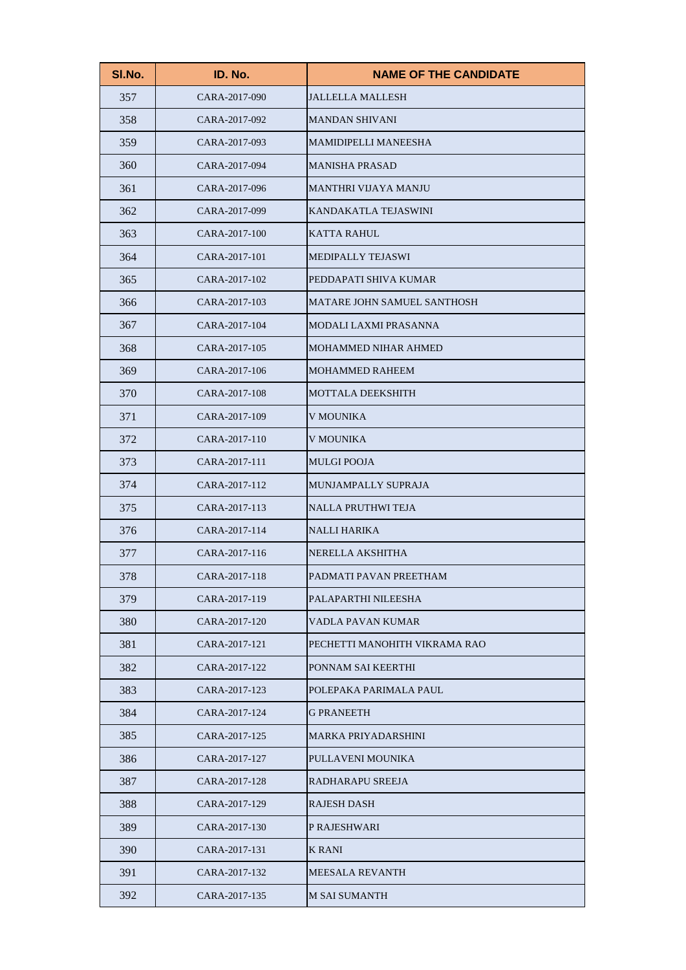| SI.No. | ID. No.       | <b>NAME OF THE CANDIDATE</b>  |
|--------|---------------|-------------------------------|
| 357    | CARA-2017-090 | <b>JALLELLA MALLESH</b>       |
| 358    | CARA-2017-092 | <b>MANDAN SHIVANI</b>         |
| 359    | CARA-2017-093 | <b>MAMIDIPELLI MANEESHA</b>   |
| 360    | CARA-2017-094 | <b>MANISHA PRASAD</b>         |
| 361    | CARA-2017-096 | <b>MANTHRI VIJAYA MANJU</b>   |
| 362    | CARA-2017-099 | KANDAKATLA TEJASWINI          |
| 363    | CARA-2017-100 | <b>KATTA RAHUL</b>            |
| 364    | CARA-2017-101 | <b>MEDIPALLY TEJASWI</b>      |
| 365    | CARA-2017-102 | PEDDAPATI SHIVA KUMAR         |
| 366    | CARA-2017-103 | MATARE JOHN SAMUEL SANTHOSH   |
| 367    | CARA-2017-104 | <b>MODALI LAXMI PRASANNA</b>  |
| 368    | CARA-2017-105 | <b>MOHAMMED NIHAR AHMED</b>   |
| 369    | CARA-2017-106 | <b>MOHAMMED RAHEEM</b>        |
| 370    | CARA-2017-108 | <b>MOTTALA DEEKSHITH</b>      |
| 371    | CARA-2017-109 | <b>V MOUNIKA</b>              |
| 372    | CARA-2017-110 | V MOUNIKA                     |
| 373    | CARA-2017-111 | <b>MULGI POOJA</b>            |
| 374    | CARA-2017-112 | MUNJAMPALLY SUPRAJA           |
| 375    | CARA-2017-113 | <b>NALLA PRUTHWI TEJA</b>     |
| 376    | CARA-2017-114 | <b>NALLI HARIKA</b>           |
| 377    | CARA-2017-116 | NERELLA AKSHITHA              |
| 378    | CARA-2017-118 | PADMATI PAVAN PREETHAM        |
| 379    | CARA-2017-119 | PALAPARTHI NILEESHA           |
| 380    | CARA-2017-120 | VADLA PAVAN KUMAR             |
| 381    | CARA-2017-121 | PECHETTI MANOHITH VIKRAMA RAO |
| 382    | CARA-2017-122 | PONNAM SAI KEERTHI            |
| 383    | CARA-2017-123 | POLEPAKA PARIMALA PAUL        |
| 384    | CARA-2017-124 | <b>G PRANEETH</b>             |
| 385    | CARA-2017-125 | <b>MARKA PRIYADARSHINI</b>    |
| 386    | CARA-2017-127 | PULLAVENI MOUNIKA             |
| 387    | CARA-2017-128 | RADHARAPU SREEJA              |
| 388    | CARA-2017-129 | <b>RAJESH DASH</b>            |
| 389    | CARA-2017-130 | P RAJESHWARI                  |
| 390    | CARA-2017-131 | <b>K RANI</b>                 |
| 391    | CARA-2017-132 | <b>MEESALA REVANTH</b>        |
| 392    | CARA-2017-135 | <b>M SAI SUMANTH</b>          |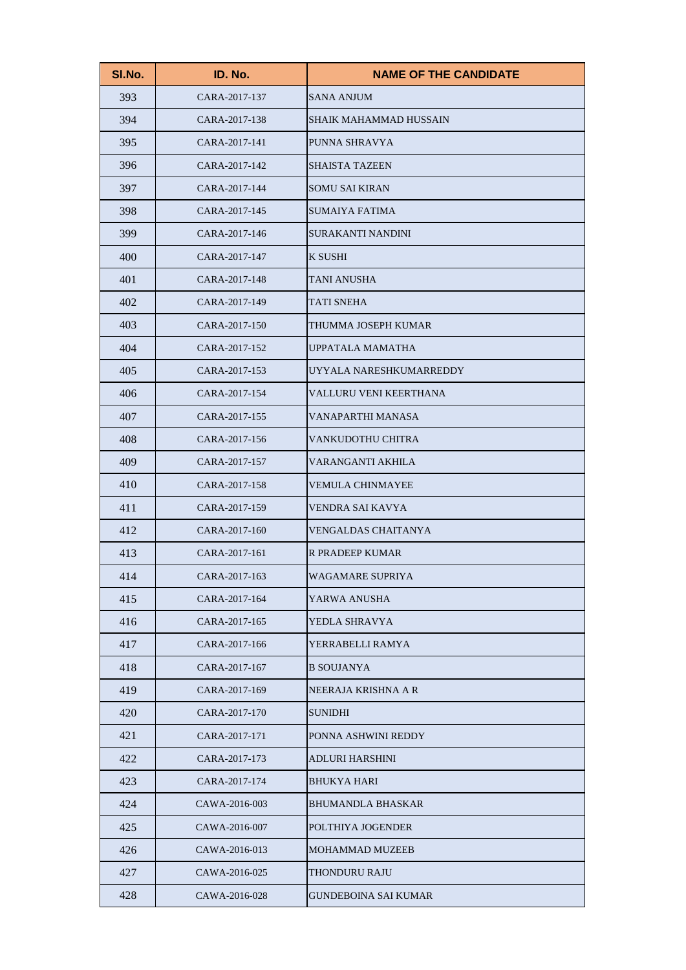| SI.No. | ID. No.       | <b>NAME OF THE CANDIDATE</b>  |
|--------|---------------|-------------------------------|
| 393    | CARA-2017-137 | <b>SANA ANJUM</b>             |
| 394    | CARA-2017-138 | <b>SHAIK MAHAMMAD HUSSAIN</b> |
| 395    | CARA-2017-141 | PUNNA SHRAVYA                 |
| 396    | CARA-2017-142 | <b>SHAISTA TAZEEN</b>         |
| 397    | CARA-2017-144 | <b>SOMU SAI KIRAN</b>         |
| 398    | CARA-2017-145 | <b>SUMAIYA FATIMA</b>         |
| 399    | CARA-2017-146 | <b>SURAKANTI NANDINI</b>      |
| 400    | CARA-2017-147 | K SUSHI                       |
| 401    | CARA-2017-148 | TANI ANUSHA                   |
| 402    | CARA-2017-149 | <b>TATI SNEHA</b>             |
| 403    | CARA-2017-150 | THUMMA JOSEPH KUMAR           |
| 404    | CARA-2017-152 | UPPATALA MAMATHA              |
| 405    | CARA-2017-153 | UYYALA NARESHKUMARREDDY       |
| 406    | CARA-2017-154 | VALLURU VENI KEERTHANA        |
| 407    | CARA-2017-155 | VANAPARTHI MANASA             |
| 408    | CARA-2017-156 | VANKUDOTHU CHITRA             |
| 409    | CARA-2017-157 | VARANGANTI AKHILA             |
| 410    | CARA-2017-158 | <b>VEMULA CHINMAYEE</b>       |
| 411    | CARA-2017-159 | VENDRA SAI KAVYA              |
| 412    | CARA-2017-160 | <b>VENGALDAS CHAITANYA</b>    |
| 413    | CARA-2017-161 | <b>R PRADEEP KUMAR</b>        |
| 414    | CARA-2017-163 | WAGAMARE SUPRIYA              |
| 415    | CARA-2017-164 | YARWA ANUSHA                  |
| 416    | CARA-2017-165 | YEDLA SHRAVYA                 |
| 417    | CARA-2017-166 | YERRABELLI RAMYA              |
| 418    | CARA-2017-167 | <b>B SOUJANYA</b>             |
| 419    | CARA-2017-169 | NEERAJA KRISHNA A R           |
| 420    | CARA-2017-170 | <b>SUNIDHI</b>                |
| 421    | CARA-2017-171 | PONNA ASHWINI REDDY           |
| 422    | CARA-2017-173 | <b>ADLURI HARSHINI</b>        |
| 423    | CARA-2017-174 | <b>BHUKYA HARI</b>            |
| 424    | CAWA-2016-003 | <b>BHUMANDLA BHASKAR</b>      |
| 425    | CAWA-2016-007 | POLTHIYA JOGENDER             |
| 426    | CAWA-2016-013 | <b>MOHAMMAD MUZEEB</b>        |
| 427    | CAWA-2016-025 | THONDURU RAJU                 |
| 428    | CAWA-2016-028 | <b>GUNDEBOINA SAI KUMAR</b>   |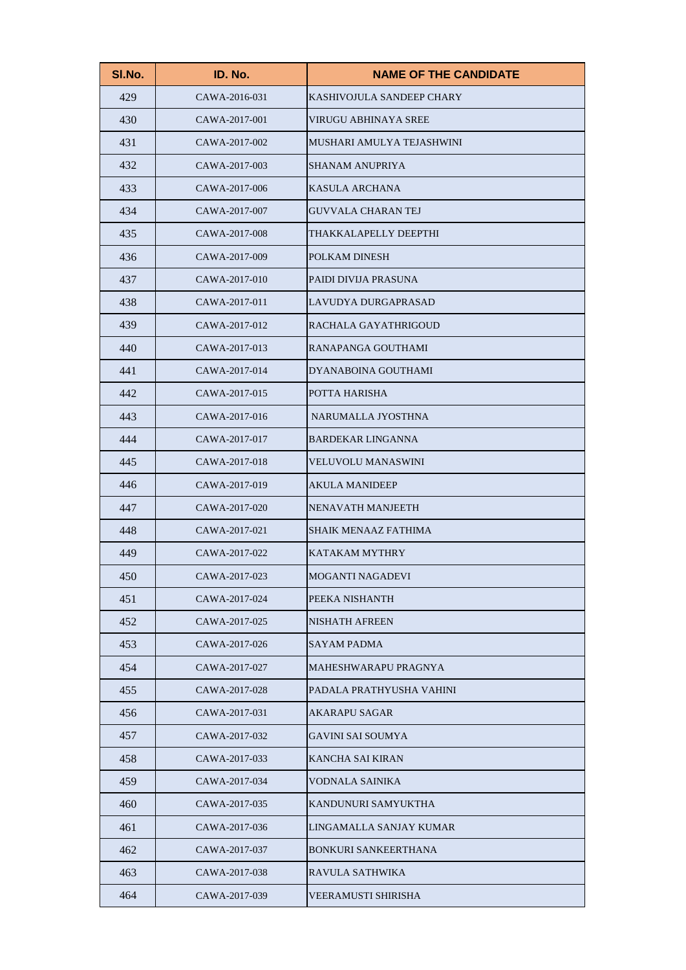| SI.No. | ID. No.       | <b>NAME OF THE CANDIDATE</b> |
|--------|---------------|------------------------------|
| 429    | CAWA-2016-031 | KASHIVOJULA SANDEEP CHARY    |
| 430    | CAWA-2017-001 | <b>VIRUGU ABHINAYA SREE</b>  |
| 431    | CAWA-2017-002 | MUSHARI AMULYA TEJASHWINI    |
| 432    | CAWA-2017-003 | <b>SHANAM ANUPRIYA</b>       |
| 433    | CAWA-2017-006 | <b>KASULA ARCHANA</b>        |
| 434    | CAWA-2017-007 | <b>GUVVALA CHARAN TEJ</b>    |
| 435    | CAWA-2017-008 | THAKKALAPELLY DEEPTHI        |
| 436    | CAWA-2017-009 | POLKAM DINESH                |
| 437    | CAWA-2017-010 | PAIDI DIVIJA PRASUNA         |
| 438    | CAWA-2017-011 | LAVUDYA DURGAPRASAD          |
| 439    | CAWA-2017-012 | RACHALA GAYATHRIGOUD         |
| 440    | CAWA-2017-013 | RANAPANGA GOUTHAMI           |
| 441    | CAWA-2017-014 | DYANABOINA GOUTHAMI          |
| 442    | CAWA-2017-015 | POTTA HARISHA                |
| 443    | CAWA-2017-016 | NARUMALLA JYOSTHNA           |
| 444    | CAWA-2017-017 | <b>BARDEKAR LINGANNA</b>     |
| 445    | CAWA-2017-018 | <b>VELUVOLU MANASWINI</b>    |
| 446    | CAWA-2017-019 | <b>AKULA MANIDEEP</b>        |
| 447    | CAWA-2017-020 | NENAVATH MANJEETH            |
| 448    | CAWA-2017-021 | <b>SHAIK MENAAZ FATHIMA</b>  |
| 449    | CAWA-2017-022 | <b>KATAKAM MYTHRY</b>        |
| 450    | CAWA-2017-023 | MOGANTI NAGADEVI             |
| 451    | CAWA-2017-024 | PEEKA NISHANTH               |
| 452    | CAWA-2017-025 | <b>NISHATH AFREEN</b>        |
| 453    | CAWA-2017-026 | <b>SAYAM PADMA</b>           |
| 454    | CAWA-2017-027 | MAHESHWARAPU PRAGNYA         |
| 455    | CAWA-2017-028 | PADALA PRATHYUSHA VAHINI     |
| 456    | CAWA-2017-031 | <b>AKARAPU SAGAR</b>         |
| 457    | CAWA-2017-032 | <b>GAVINI SAI SOUMYA</b>     |
| 458    | CAWA-2017-033 | <b>KANCHA SAI KIRAN</b>      |
| 459    | CAWA-2017-034 | VODNALA SAINIKA              |
| 460    | CAWA-2017-035 | KANDUNURI SAMYUKTHA          |
| 461    | CAWA-2017-036 | LINGAMALLA SANJAY KUMAR      |
| 462    | CAWA-2017-037 | <b>BONKURI SANKEERTHANA</b>  |
| 463    | CAWA-2017-038 | RAVULA SATHWIKA              |
| 464    | CAWA-2017-039 | VEERAMUSTI SHIRISHA          |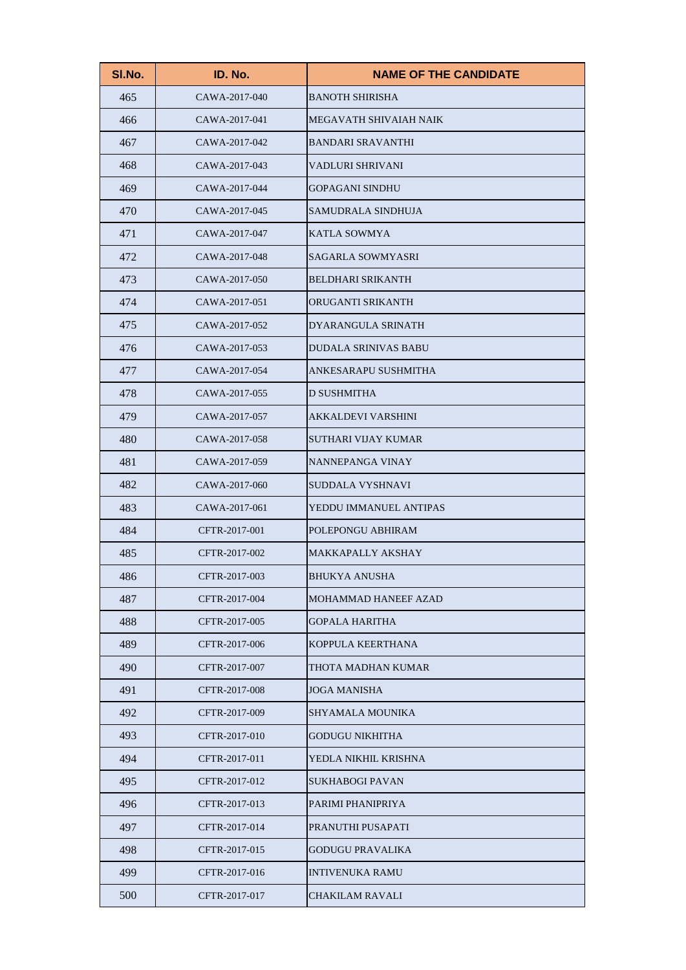| SI.No. | ID. No.       | <b>NAME OF THE CANDIDATE</b> |
|--------|---------------|------------------------------|
| 465    | CAWA-2017-040 | <b>BANOTH SHIRISHA</b>       |
| 466    | CAWA-2017-041 | MEGAVATH SHIVAIAH NAIK       |
| 467    | CAWA-2017-042 | <b>BANDARI SRAVANTHI</b>     |
| 468    | CAWA-2017-043 | VADLURI SHRIVANI             |
| 469    | CAWA-2017-044 | <b>GOPAGANI SINDHU</b>       |
| 470    | CAWA-2017-045 | SAMUDRALA SINDHUJA           |
| 471    | CAWA-2017-047 | KATLA SOWMYA                 |
| 472    | CAWA-2017-048 | <b>SAGARLA SOWMYASRI</b>     |
| 473    | CAWA-2017-050 | <b>BELDHARI SRIKANTH</b>     |
| 474    | CAWA-2017-051 | ORUGANTI SRIKANTH            |
| 475    | CAWA-2017-052 | DYARANGULA SRINATH           |
| 476    | CAWA-2017-053 | <b>DUDALA SRINIVAS BABU</b>  |
| 477    | CAWA-2017-054 | ANKESARAPU SUSHMITHA         |
| 478    | CAWA-2017-055 | <b>D SUSHMITHA</b>           |
| 479    | CAWA-2017-057 | <b>AKKALDEVI VARSHINI</b>    |
| 480    | CAWA-2017-058 | SUTHARI VIJAY KUMAR          |
| 481    | CAWA-2017-059 | NANNEPANGA VINAY             |
| 482    | CAWA-2017-060 | SUDDALA VYSHNAVI             |
| 483    | CAWA-2017-061 | YEDDU IMMANUEL ANTIPAS       |
| 484    | CFTR-2017-001 | POLEPONGU ABHIRAM            |
| 485    | CFTR-2017-002 | <b>MAKKAPALLY AKSHAY</b>     |
| 486    | CFTR-2017-003 | BHUKYA ANUSHA                |
| 487    | CFTR-2017-004 | MOHAMMAD HANEEF AZAD         |
| 488    | CFTR-2017-005 | <b>GOPALA HARITHA</b>        |
| 489    | CFTR-2017-006 | KOPPULA KEERTHANA            |
| 490    | CFTR-2017-007 | THOTA MADHAN KUMAR           |
| 491    | CFTR-2017-008 | <b>JOGA MANISHA</b>          |
| 492    | CFTR-2017-009 | SHYAMALA MOUNIKA             |
| 493    | CFTR-2017-010 | <b>GODUGU NIKHITHA</b>       |
| 494    | CFTR-2017-011 | YEDLA NIKHIL KRISHNA         |
| 495    | CFTR-2017-012 | <b>SUKHABOGI PAVAN</b>       |
| 496    | CFTR-2017-013 | PARIMI PHANIPRIYA            |
| 497    | CFTR-2017-014 | PRANUTHI PUSAPATI            |
| 498    | CFTR-2017-015 | <b>GODUGU PRAVALIKA</b>      |
| 499    | CFTR-2017-016 | <b>INTIVENUKA RAMU</b>       |
| 500    | CFTR-2017-017 | <b>CHAKILAM RAVALI</b>       |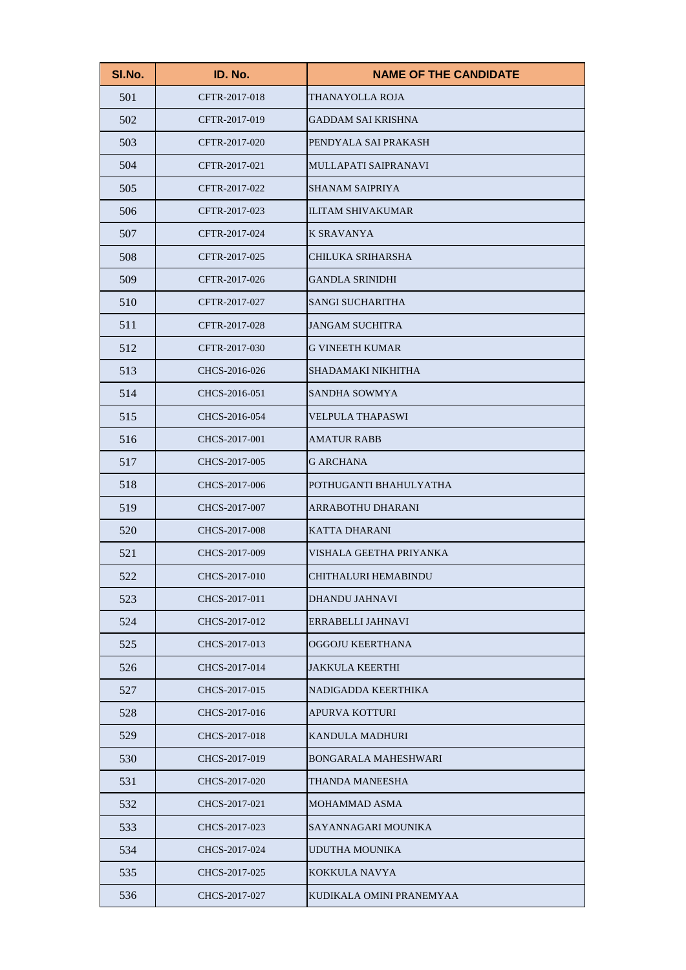| SI.No. | ID. No.       | <b>NAME OF THE CANDIDATE</b> |
|--------|---------------|------------------------------|
| 501    | CFTR-2017-018 | THANAYOLLA ROJA              |
| 502    | CFTR-2017-019 | <b>GADDAM SAI KRISHNA</b>    |
| 503    | CFTR-2017-020 | PENDYALA SAI PRAKASH         |
| 504    | CFTR-2017-021 | MULLAPATI SAIPRANAVI         |
| 505    | CFTR-2017-022 | <b>SHANAM SAIPRIYA</b>       |
| 506    | CFTR-2017-023 | <b>ILITAM SHIVAKUMAR</b>     |
| 507    | CFTR-2017-024 | <b>K SRAVANYA</b>            |
| 508    | CFTR-2017-025 | CHILUKA SRIHARSHA            |
| 509    | CFTR-2017-026 | <b>GANDLA SRINIDHI</b>       |
| 510    | CFTR-2017-027 | <b>SANGI SUCHARITHA</b>      |
| 511    | CFTR-2017-028 | <b>JANGAM SUCHITRA</b>       |
| 512    | CFTR-2017-030 | <b>G VINEETH KUMAR</b>       |
| 513    | CHCS-2016-026 | SHADAMAKI NIKHITHA           |
| 514    | CHCS-2016-051 | <b>SANDHA SOWMYA</b>         |
| 515    | CHCS-2016-054 | <b>VELPULA THAPASWI</b>      |
| 516    | CHCS-2017-001 | <b>AMATUR RABB</b>           |
| 517    | CHCS-2017-005 | <b>G ARCHANA</b>             |
| 518    | CHCS-2017-006 | POTHUGANTI BHAHULYATHA       |
| 519    | CHCS-2017-007 | ARRABOTHU DHARANI            |
| 520    | CHCS-2017-008 | <b>KATTA DHARANI</b>         |
| 521    | CHCS-2017-009 | VISHALA GEETHA PRIYANKA      |
| 522    | CHCS-2017-010 | CHITHALURI HEMABINDU         |
| 523    | CHCS-2017-011 | <b>DHANDU JAHNAVI</b>        |
| 524    | CHCS-2017-012 | ERRABELLI JAHNAVI            |
| 525    | CHCS-2017-013 | OGGOJU KEERTHANA             |
| 526    | CHCS-2017-014 | <b>JAKKULA KEERTHI</b>       |
| 527    | CHCS-2017-015 | NADIGADDA KEERTHIKA          |
| 528    | CHCS-2017-016 | APURVA KOTTURI               |
| 529    | CHCS-2017-018 | <b>KANDULA MADHURI</b>       |
| 530    | CHCS-2017-019 | <b>BONGARALA MAHESHWARI</b>  |
| 531    | CHCS-2017-020 | THANDA MANEESHA              |
| 532    | CHCS-2017-021 | <b>MOHAMMAD ASMA</b>         |
| 533    | CHCS-2017-023 | SAYANNAGARI MOUNIKA          |
| 534    | CHCS-2017-024 | UDUTHA MOUNIKA               |
| 535    | CHCS-2017-025 | KOKKULA NAVYA                |
| 536    | CHCS-2017-027 | KUDIKALA OMINI PRANEMYAA     |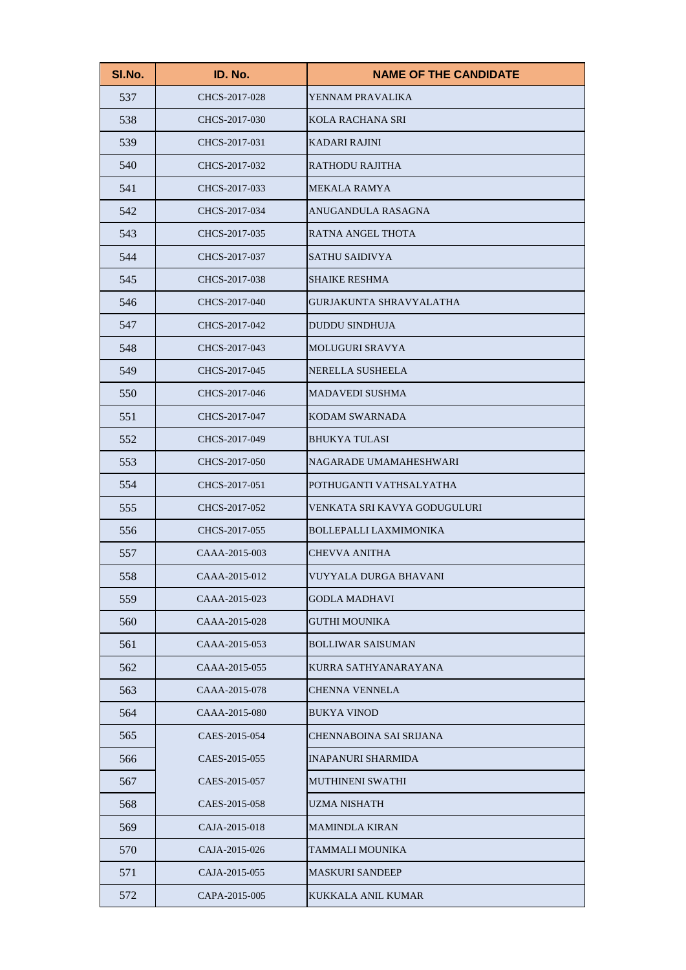| SI.No. | ID. No.       | <b>NAME OF THE CANDIDATE</b>   |
|--------|---------------|--------------------------------|
| 537    | CHCS-2017-028 | YENNAM PRAVALIKA               |
| 538    | CHCS-2017-030 | <b>KOLA RACHANA SRI</b>        |
| 539    | CHCS-2017-031 | <b>KADARI RAJINI</b>           |
| 540    | CHCS-2017-032 | <b>RATHODU RAJITHA</b>         |
| 541    | CHCS-2017-033 | <b>MEKALA RAMYA</b>            |
| 542    | CHCS-2017-034 | ANUGANDULA RASAGNA             |
| 543    | CHCS-2017-035 | RATNA ANGEL THOTA              |
| 544    | CHCS-2017-037 | <b>SATHU SAIDIVYA</b>          |
| 545    | CHCS-2017-038 | <b>SHAIKE RESHMA</b>           |
| 546    | CHCS-2017-040 | <b>GURJAKUNTA SHRAVYALATHA</b> |
| 547    | CHCS-2017-042 | <b>DUDDU SINDHUJA</b>          |
| 548    | CHCS-2017-043 | <b>MOLUGURI SRAVYA</b>         |
| 549    | CHCS-2017-045 | <b>NERELLA SUSHEELA</b>        |
| 550    | CHCS-2017-046 | <b>MADAVEDI SUSHMA</b>         |
| 551    | CHCS-2017-047 | <b>KODAM SWARNADA</b>          |
| 552    | CHCS-2017-049 | <b>BHUKYA TULASI</b>           |
| 553    | CHCS-2017-050 | NAGARADE UMAMAHESHWARI         |
| 554    | CHCS-2017-051 | POTHUGANTI VATHSALYATHA        |
| 555    | CHCS-2017-052 | VENKATA SRI KAVYA GODUGULURI   |
| 556    | CHCS-2017-055 | <b>BOLLEPALLI LAXMIMONIKA</b>  |
| 557    | CAAA-2015-003 | <b>CHEVVA ANITHA</b>           |
| 558    | CAAA-2015-012 | VUYYALA DURGA BHAVANI          |
| 559    | CAAA-2015-023 | <b>GODLA MADHAVI</b>           |
| 560    | CAAA-2015-028 | <b>GUTHI MOUNIKA</b>           |
| 561    | CAAA-2015-053 | <b>BOLLIWAR SAISUMAN</b>       |
| 562    | CAAA-2015-055 | KURRA SATHYANARAYANA           |
| 563    | CAAA-2015-078 | <b>CHENNA VENNELA</b>          |
| 564    | CAAA-2015-080 | <b>BUKYA VINOD</b>             |
| 565    | CAES-2015-054 | CHENNABOINA SAI SRIJANA        |
| 566    | CAES-2015-055 | <b>INAPANURI SHARMIDA</b>      |
| 567    | CAES-2015-057 | MUTHINENI SWATHI               |
| 568    | CAES-2015-058 | <b>UZMA NISHATH</b>            |
| 569    | CAJA-2015-018 | <b>MAMINDLA KIRAN</b>          |
| 570    | CAJA-2015-026 | TAMMALI MOUNIKA                |
| 571    | CAJA-2015-055 | <b>MASKURI SANDEEP</b>         |
| 572    | CAPA-2015-005 | <b>KUKKALA ANIL KUMAR</b>      |